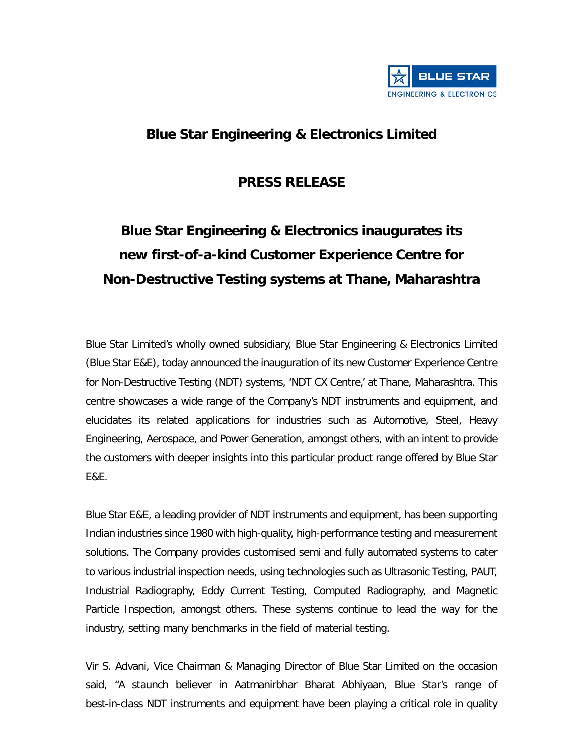

## **Blue Star Engineering & Electronics Limited**

## **PRESS RELEASE**

# **Blue Star Engineering & Electronics inaugurates its new first-of-a-kind Customer Experience Centre for Non-Destructive Testing systems at Thane, Maharashtra**

Blue Star Limited's wholly owned subsidiary, Blue Star Engineering & Electronics Limited (Blue Star E&E), today announced the inauguration of its new Customer Experience Centre for Non-Destructive Testing (NDT) systems, 'NDT CX Centre,' at Thane, Maharashtra. This centre showcases a wide range of the Company's NDT instruments and equipment, and elucidates its related applications for industries such as Automotive, Steel, Heavy Engineering, Aerospace, and Power Generation, amongst others, with an intent to provide the customers with deeper insights into this particular product range offered by Blue Star E&E.

Blue Star E&E, a leading provider of NDT instruments and equipment, has been supporting Indian industries since 1980 with high-quality, high-performance testing and measurement solutions. The Company provides customised semi and fully automated systems to cater to various industrial inspection needs, using technologies such as Ultrasonic Testing, PAUT, Industrial Radiography, Eddy Current Testing, Computed Radiography, and Magnetic Particle Inspection, amongst others. These systems continue to lead the way for the industry, setting many benchmarks in the field of material testing.

Vir S. Advani, Vice Chairman & Managing Director of Blue Star Limited on the occasion said, "A staunch believer in Aatmanirbhar Bharat Abhiyaan, Blue Star's range of best-in-class NDT instruments and equipment have been playing a critical role in quality